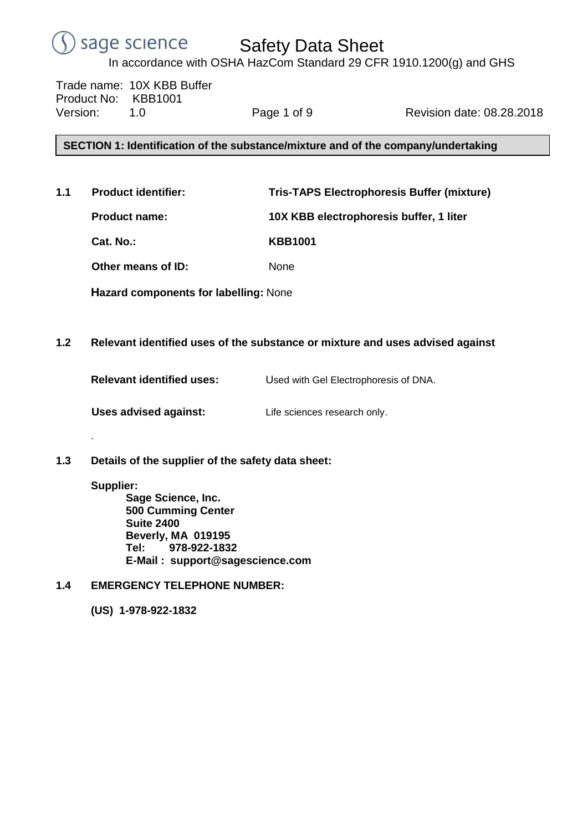#### sage science Safety Data Sheet

In accordance with OSHA HazCom Standard 29 CFR 1910.1200(g) and GHS

Trade name: 10X KBB Buffer Product No: KBB1001 Version: 1.0 Page 1 of 9 Revision date: 08.28.2018

# **SECTION 1: Identification of the substance/mixture and of the company/undertaking**

**1.1 Product identifier: Tris-TAPS Electrophoresis Buffer (mixture)**

**Product name: 10X KBB electrophoresis buffer, 1 liter**

**Cat. No.: KBB1001**

**Other means of ID:** None

**Hazard components for labelling:** None

# **1.2 Relevant identified uses of the substance or mixture and uses advised against**

**Relevant identified uses:** Used with Gel Electrophoresis of DNA.

**Uses advised against:** Life sciences research only.

**1.3 Details of the supplier of the safety data sheet:**

# **Supplier:**

.

**Sage Science, Inc. 500 Cumming Center Suite 2400 Beverly, MA 019195 Tel: 978-922-1832 E-Mail : support@sagescience.com**

**1.4 EMERGENCY TELEPHONE NUMBER:**

**(US) 1-978-922-1832**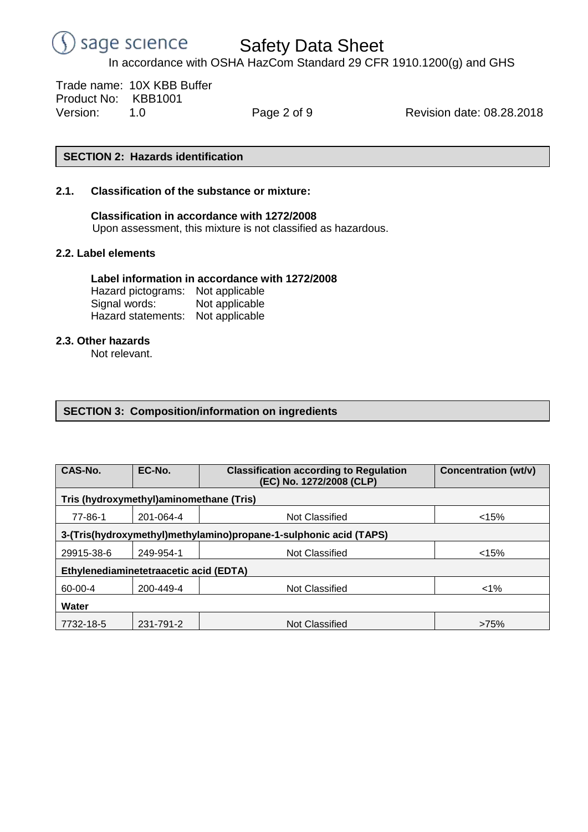

Trade name: 10X KBB Buffer Product No: KBB1001 Version: 1.0 Page 2 of 9 Revision date: 08.28.2018

## **SECTION 2: Hazards identification**

## **2.1. Classification of the substance or mixture:**

**Classification in accordance with 1272/2008** Upon assessment, this mixture is not classified as hazardous.

### **2.2. Label elements**

## **Label information in accordance with 1272/2008**

Hazard pictograms: Not applicable Signal words: Not applicable Hazard statements: Not applicable

## **2.3. Other hazards**

Not relevant.

# **SECTION 3: Composition/information on ingredients**

| CAS-No.                                                           | EC-No.    | <b>Classification according to Regulation</b><br>(EC) No. 1272/2008 (CLP) | Concentration (wt/v) |  |  |  |  |  |  |
|-------------------------------------------------------------------|-----------|---------------------------------------------------------------------------|----------------------|--|--|--|--|--|--|
| Tris (hydroxymethyl)aminomethane (Tris)                           |           |                                                                           |                      |  |  |  |  |  |  |
| 77-86-1                                                           | 201-064-4 | Not Classified                                                            | < 15%                |  |  |  |  |  |  |
| 3-(Tris(hydroxymethyl)methylamino)propane-1-sulphonic acid (TAPS) |           |                                                                           |                      |  |  |  |  |  |  |
| 29915-38-6                                                        | 249-954-1 | <b>Not Classified</b>                                                     | < 15%                |  |  |  |  |  |  |
| Ethylenediaminetetraacetic acid (EDTA)                            |           |                                                                           |                      |  |  |  |  |  |  |
| 60-00-4                                                           | 200-449-4 | Not Classified                                                            | $1\%$                |  |  |  |  |  |  |
| Water                                                             |           |                                                                           |                      |  |  |  |  |  |  |
| 7732-18-5                                                         | 231-791-2 | Not Classified                                                            | >75%                 |  |  |  |  |  |  |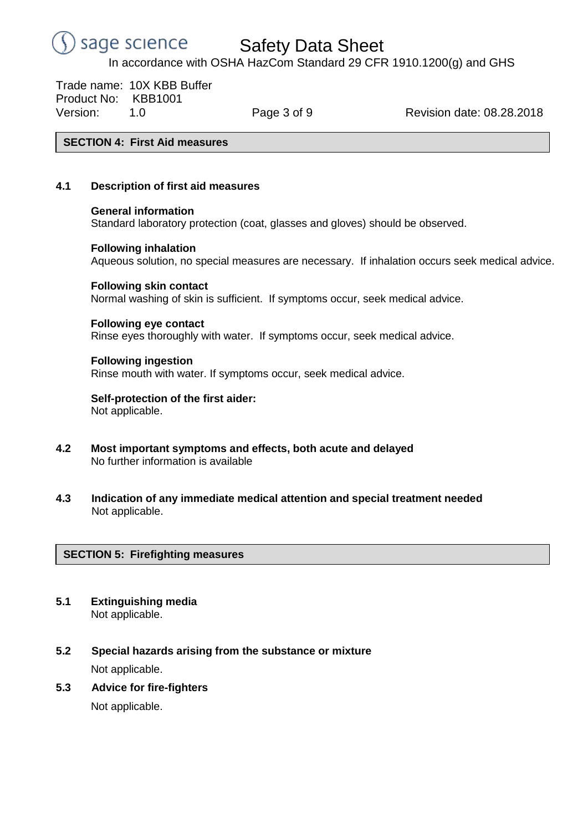#### sage science Safety Data Sheet

In accordance with OSHA HazCom Standard 29 CFR 1910.1200(g) and GHS

Trade name: 10X KBB Buffer Product No: KBB1001 Version: 1.0 Page 3 of 9 Revision date: 08.28.2018

## **SECTION 4: First Aid measures**

## **4.1 Description of first aid measures**

### **General information**

Standard laboratory protection (coat, glasses and gloves) should be observed.

### **Following inhalation**

Aqueous solution, no special measures are necessary. If inhalation occurs seek medical advice.

### **Following skin contact**

Normal washing of skin is sufficient. If symptoms occur, seek medical advice.

### **Following eye contact**

Rinse eyes thoroughly with water. If symptoms occur, seek medical advice.

### **Following ingestion**

Rinse mouth with water. If symptoms occur, seek medical advice.

### **Self-protection of the first aider:** Not applicable.

- **4.2 Most important symptoms and effects, both acute and delayed** No further information is available
- **4.3 Indication of any immediate medical attention and special treatment needed** Not applicable.

# **SECTION 5: Firefighting measures**

- **5.1 Extinguishing media** Not applicable.
- **5.2 Special hazards arising from the substance or mixture** Not applicable.
- **5.3 Advice for fire-fighters**

Not applicable.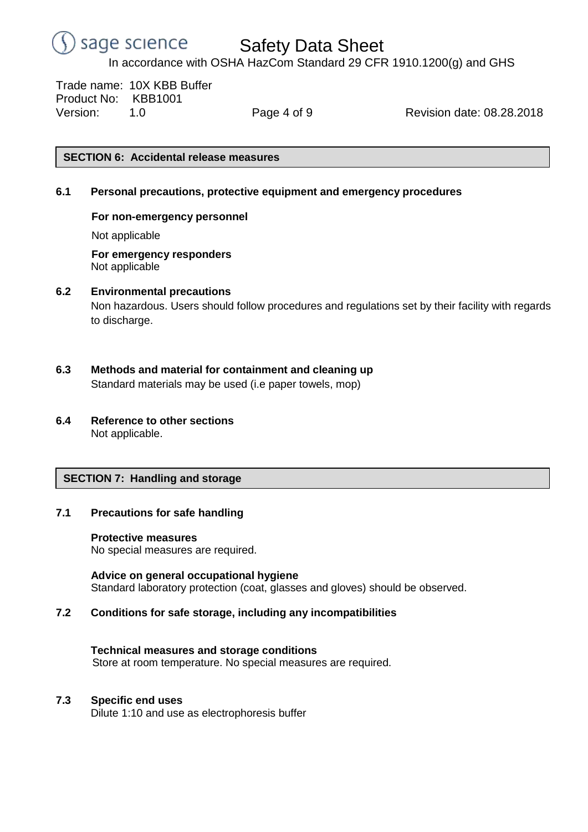

Safety Data Sheet

In accordance with OSHA HazCom Standard 29 CFR 1910.1200(g) and GHS

Trade name: 10X KBB Buffer Product No: KBB1001 Version: 1.0 Page 4 of 9 Revision date: 08.28.2018

## **SECTION 6: Accidental release measures**

## **6.1 Personal precautions, protective equipment and emergency procedures**

## **For non-emergency personnel**

Not applicable

**For emergency responders** Not applicable

### **6.2 Environmental precautions**

Non hazardous. Users should follow procedures and regulations set by their facility with regards to discharge.

- **6.3 Methods and material for containment and cleaning up** Standard materials may be used (i.e paper towels, mop)
- **6.4 Reference to other sections** Not applicable.

### **SECTION 7: Handling and storage**

### **7.1 Precautions for safe handling**

### **Protective measures**

No special measures are required.

**Advice on general occupational hygiene** Standard laboratory protection (coat, glasses and gloves) should be observed.

## **7.2 Conditions for safe storage, including any incompatibilities**

### **Technical measures and storage conditions**

Store at room temperature. No special measures are required.

### **7.3 Specific end uses**

Dilute 1:10 and use as electrophoresis buffer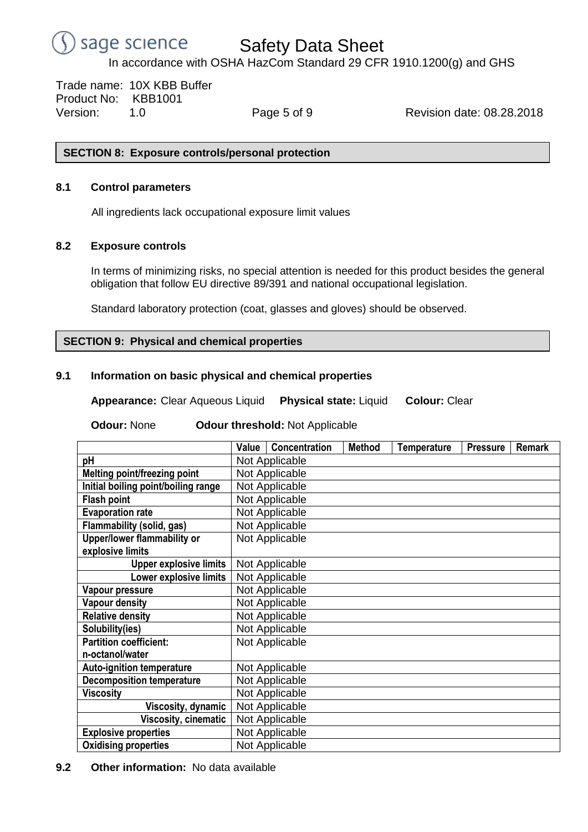

Trade name: 10X KBB Buffer Product No: KBB1001 Version: 1.0 Page 5 of 9 Revision date: 08.28.2018

## **SECTION 8: Exposure controls/personal protection**

## **8.1 Control parameters**

All ingredients lack occupational exposure limit values

# **8.2 Exposure controls**

In terms of minimizing risks, no special attention is needed for this product besides the general obligation that follow EU directive 89/391 and national occupational legislation.

Standard laboratory protection (coat, glasses and gloves) should be observed.

# **SECTION 9: Physical and chemical properties**

## **9.1 Information on basic physical and chemical properties**

**Appearance:** Clear Aqueous Liquid **Physical state:** Liquid **Colour:** Clear

**Odour:** None **Odour threshold:** Not Applicable

|                                     | Value          | Concentration  | <b>Method</b> | <b>Temperature</b> | <b>Pressure</b> | <b>Remark</b> |  |  |
|-------------------------------------|----------------|----------------|---------------|--------------------|-----------------|---------------|--|--|
| рH                                  | Not Applicable |                |               |                    |                 |               |  |  |
| Melting point/freezing point        | Not Applicable |                |               |                    |                 |               |  |  |
| Initial boiling point/boiling range | Not Applicable |                |               |                    |                 |               |  |  |
| <b>Flash point</b>                  | Not Applicable |                |               |                    |                 |               |  |  |
| <b>Evaporation rate</b>             | Not Applicable |                |               |                    |                 |               |  |  |
| Flammability (solid, gas)           | Not Applicable |                |               |                    |                 |               |  |  |
| Upper/lower flammability or         | Not Applicable |                |               |                    |                 |               |  |  |
| explosive limits                    |                |                |               |                    |                 |               |  |  |
| <b>Upper explosive limits</b>       |                | Not Applicable |               |                    |                 |               |  |  |
| Lower explosive limits              | Not Applicable |                |               |                    |                 |               |  |  |
| Vapour pressure                     | Not Applicable |                |               |                    |                 |               |  |  |
| <b>Vapour density</b>               | Not Applicable |                |               |                    |                 |               |  |  |
| <b>Relative density</b>             | Not Applicable |                |               |                    |                 |               |  |  |
| Solubility(ies)                     | Not Applicable |                |               |                    |                 |               |  |  |
| <b>Partition coefficient:</b>       |                | Not Applicable |               |                    |                 |               |  |  |
| n-octanol/water                     |                |                |               |                    |                 |               |  |  |
| <b>Auto-ignition temperature</b>    | Not Applicable |                |               |                    |                 |               |  |  |
| <b>Decomposition temperature</b>    | Not Applicable |                |               |                    |                 |               |  |  |
| <b>Viscosity</b>                    | Not Applicable |                |               |                    |                 |               |  |  |
| Viscosity, dynamic                  |                | Not Applicable |               |                    |                 |               |  |  |
| <b>Viscosity, cinematic</b>         | Not Applicable |                |               |                    |                 |               |  |  |
| <b>Explosive properties</b>         | Not Applicable |                |               |                    |                 |               |  |  |
| <b>Oxidising properties</b>         |                | Not Applicable |               |                    |                 |               |  |  |

# **9.2 Other information:** No data available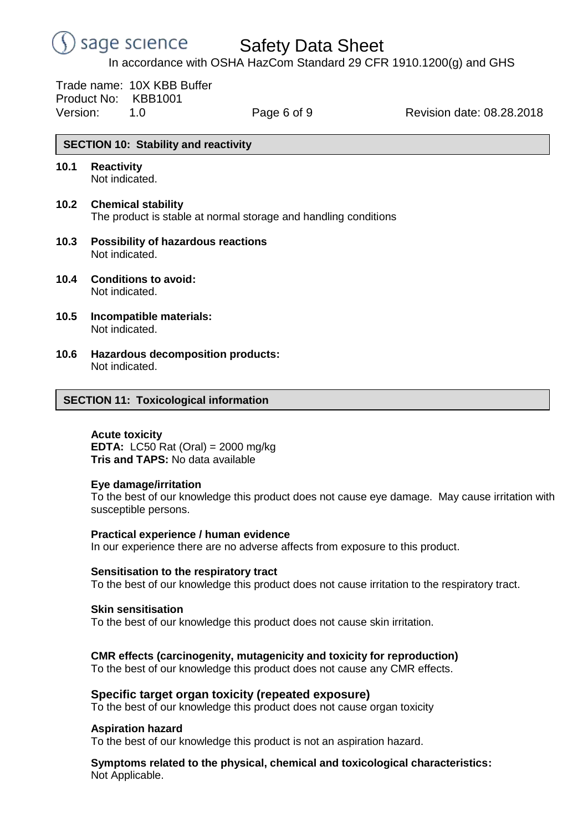

Trade name: 10X KBB Buffer Product No: KBB1001

Version: 1.0 Page 6 of 9 Revision date: 08.28.2018

# **SECTION 10: Stability and reactivity**

- **10.1 Reactivity** Not indicated.
- **10.2 Chemical stability** The product is stable at normal storage and handling conditions
- **10.3 Possibility of hazardous reactions** Not indicated.
- **10.4 Conditions to avoid:** Not indicated.
- **10.5 Incompatible materials:** Not indicated.
- **10.6 Hazardous decomposition products:** Not indicated.

## **SECTION 11: Toxicological information**

**Acute toxicity EDTA:** LC50 Rat (Oral) = 2000 mg/kg **Tris and TAPS:** No data available

### **Eye damage/irritation**

To the best of our knowledge this product does not cause eye damage. May cause irritation with susceptible persons.

### **Practical experience / human evidence**

In our experience there are no adverse affects from exposure to this product.

### **Sensitisation to the respiratory tract**

To the best of our knowledge this product does not cause irritation to the respiratory tract.

### **Skin sensitisation**

To the best of our knowledge this product does not cause skin irritation.

### **CMR effects (carcinogenity, mutagenicity and toxicity for reproduction)**

To the best of our knowledge this product does not cause any CMR effects.

## **Specific target organ toxicity (repeated exposure)**

To the best of our knowledge this product does not cause organ toxicity

### **Aspiration hazard**

To the best of our knowledge this product is not an aspiration hazard.

**Symptoms related to the physical, chemical and toxicological characteristics:** Not Applicable.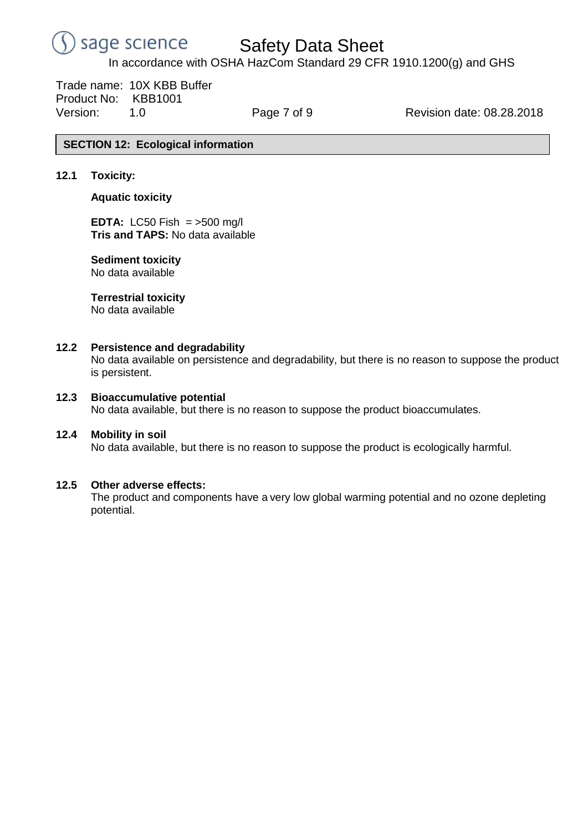

Safety Data Sheet

In accordance with OSHA HazCom Standard 29 CFR 1910.1200(g) and GHS

Trade name: 10X KBB Buffer Product No: KBB1001 Version: 1.0 Page 7 of 9 Revision date: 08.28.2018

# **SECTION 12: Ecological information**

## **12.1 Toxicity:**

### **Aquatic toxicity**

**EDTA:** LC50 Fish = >500 mg/l **Tris and TAPS:** No data available

### **Sediment toxicity** No data available

## **Terrestrial toxicity**

No data available

### **12.2 Persistence and degradability**

No data available on persistence and degradability, but there is no reason to suppose the product is persistent.

### **12.3 Bioaccumulative potential**

No data available, but there is no reason to suppose the product bioaccumulates.

### **12.4 Mobility in soil**

No data available, but there is no reason to suppose the product is ecologically harmful.

### **12.5 Other adverse effects:**

The product and components have a very low global warming potential and no ozone depleting potential.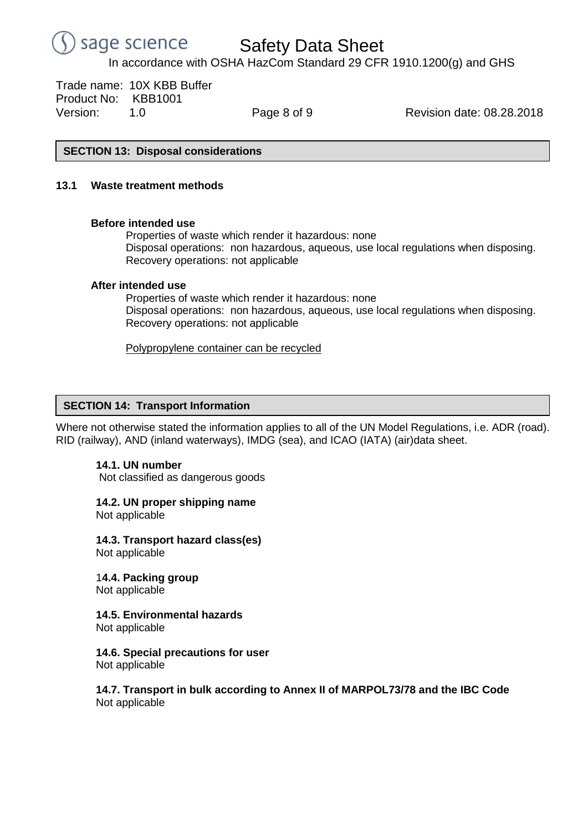

Trade name: 10X KBB Buffer Product No: KBB1001 Version: 1.0 Page 8 of 9 Revision date: 08.28.2018

## **SECTION 13: Disposal considerations**

## **13.1 Waste treatment methods**

### **Before intended use**

Properties of waste which render it hazardous: none Disposal operations: non hazardous, aqueous, use local regulations when disposing. Recovery operations: not applicable

## **After intended use**

Properties of waste which render it hazardous: none Disposal operations: non hazardous, aqueous, use local regulations when disposing. Recovery operations: not applicable

Polypropylene container can be recycled

# **SECTION 14: Transport Information**

Where not otherwise stated the information applies to all of the UN Model Regulations, i.e. ADR (road). RID (railway), AND (inland waterways), IMDG (sea), and ICAO (IATA) (air)data sheet.

# **14.1. UN number**

Not classified as dangerous goods

# **14.2. UN proper shipping name**

Not applicable

**14.3. Transport hazard class(es)** Not applicable

1**4.4. Packing group** Not applicable

**14.5. Environmental hazards**

Not applicable

**14.6. Special precautions for user** Not applicable

## **14.7. Transport in bulk according to Annex II of MARPOL73/78 and the IBC Code** Not applicable